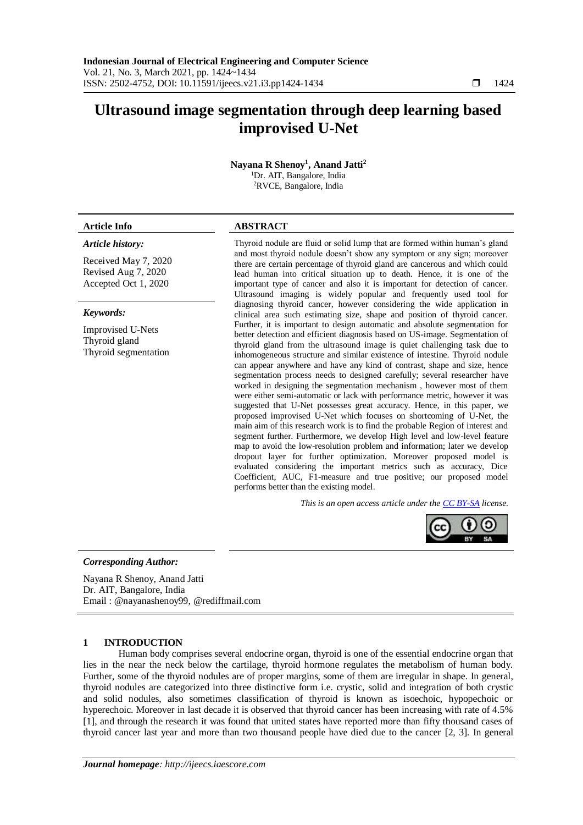# **Ultrasound image segmentation through deep learning based improvised U-Net**

**Nayana R Shenoy<sup>1</sup> , Anand Jatti<sup>2</sup>** <sup>1</sup>Dr. AIT, Bangalore, India <sup>2</sup>RVCE, Bangalore, India

# **Article Info ABSTRACT**

# *Article history:*

Received May 7, 2020 Revised Aug 7, 2020 Accepted Oct 1, 2020

#### *Keywords:*

Improvised U-Nets Thyroid gland Thyroid segmentation

Thyroid nodule are fluid or solid lump that are formed within human's gland and most thyroid nodule doesn't show any symptom or any sign; moreover there are certain percentage of thyroid gland are cancerous and which could lead human into critical situation up to death. Hence, it is one of the important type of cancer and also it is important for detection of cancer. Ultrasound imaging is widely popular and frequently used tool for diagnosing thyroid cancer, however considering the wide application in clinical area such estimating size, shape and position of thyroid cancer. Further, it is important to design automatic and absolute segmentation for better detection and efficient diagnosis based on US-image. Segmentation of thyroid gland from the ultrasound image is quiet challenging task due to inhomogeneous structure and similar existence of intestine. Thyroid nodule can appear anywhere and have any kind of contrast, shape and size, hence segmentation process needs to designed carefully; several researcher have worked in designing the segmentation mechanism , however most of them were either semi-automatic or lack with performance metric, however it was suggested that U-Net possesses great accuracy. Hence, in this paper, we proposed improvised U-Net which focuses on shortcoming of U-Net, the main aim of this research work is to find the probable Region of interest and segment further. Furthermore, we develop High level and low-level feature map to avoid the low-resolution problem and information; later we develop dropout layer for further optimization. Moreover proposed model is evaluated considering the important metrics such as accuracy, Dice Coefficient, AUC, F1-measure and true positive; our proposed model performs better than the existing model.

*This is an open access article under the [CC BY-SA](https://creativecommons.org/licenses/by-sa/4.0/) license.*



# *Corresponding Author:*

Nayana R Shenoy, Anand Jatti Dr. AIT, Bangalore, India Email : [@nayanashenoy99, @rediffmail.com](mailto:nayanashenoy99@rediffmail.com)

# **1 INTRODUCTION**

Human body comprises several endocrine organ, thyroid is one of the essential endocrine organ that lies in the near the neck below the cartilage, thyroid hormone regulates the metabolism of human body. Further, some of the thyroid nodules are of proper margins, some of them are irregular in shape. In general, thyroid nodules are categorized into three distinctive form i.e. crystic, solid and integration of both crystic and solid nodules, also sometimes classification of thyroid is known as isoechoic, hypopechoic or hyperechoic. Moreover in last decade it is observed that thyroid cancer has been increasing with rate of 4.5% [1], and through the research it was found that united states have reported more than fifty thousand cases of thyroid cancer last year and more than two thousand people have died due to the cancer [2, 3]. In general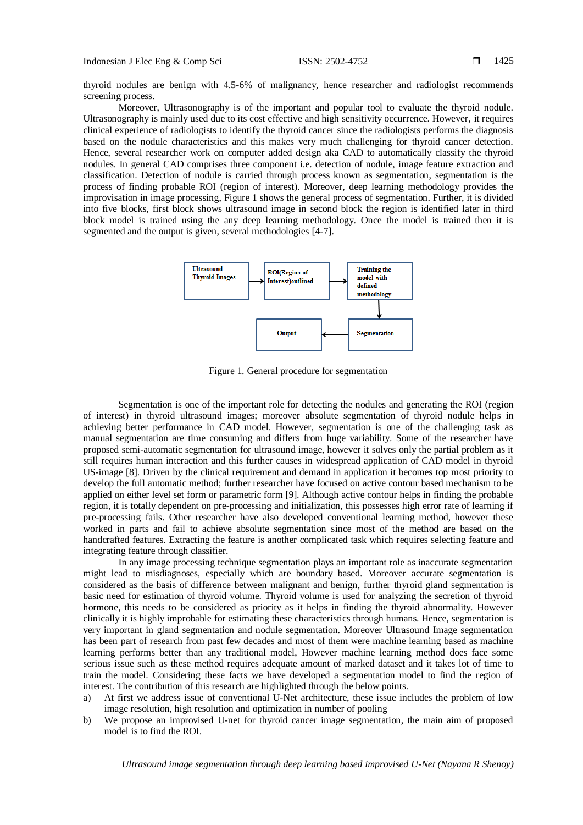thyroid nodules are benign with 4.5-6% of malignancy, hence researcher and radiologist recommends screening process.

Moreover, Ultrasonography is of the important and popular tool to evaluate the thyroid nodule. Ultrasonography is mainly used due to its cost effective and high sensitivity occurrence. However, it requires clinical experience of radiologists to identify the thyroid cancer since the radiologists performs the diagnosis based on the nodule characteristics and this makes very much challenging for thyroid cancer detection. Hence, several researcher work on computer added design aka CAD to automatically classify the thyroid nodules. In general CAD comprises three component i.e. detection of nodule, image feature extraction and classification. Detection of nodule is carried through process known as segmentation, segmentation is the process of finding probable ROI (region of interest). Moreover, deep learning methodology provides the improvisation in image processing, Figure 1 shows the general process of segmentation. Further, it is divided into five blocks, first block shows ultrasound image in second block the region is identified later in third block model is trained using the any deep learning methodology. Once the model is trained then it is segmented and the output is given, several methodologies [4-7].



Figure 1. General procedure for segmentation

Segmentation is one of the important role for detecting the nodules and generating the ROI (region of interest) in thyroid ultrasound images; moreover absolute segmentation of thyroid nodule helps in achieving better performance in CAD model. However, segmentation is one of the challenging task as manual segmentation are time consuming and differs from huge variability. Some of the researcher have proposed semi-automatic segmentation for ultrasound image, however it solves only the partial problem as it still requires human interaction and this further causes in widespread application of CAD model in thyroid US-image [8]. Driven by the clinical requirement and demand in application it becomes top most priority to develop the full automatic method; further researcher have focused on active contour based mechanism to be applied on either level set form or parametric form [9]. Although active contour helps in finding the probable region, it is totally dependent on pre-processing and initialization, this possesses high error rate of learning if pre-processing fails. Other researcher have also developed conventional learning method, however these worked in parts and fail to achieve absolute segmentation since most of the method are based on the handcrafted features. Extracting the feature is another complicated task which requires selecting feature and integrating feature through classifier.

In any image processing technique segmentation plays an important role as inaccurate segmentation might lead to misdiagnoses, especially which are boundary based. Moreover accurate segmentation is considered as the basis of difference between malignant and benign, further thyroid gland segmentation is basic need for estimation of thyroid volume. Thyroid volume is used for analyzing the secretion of thyroid hormone, this needs to be considered as priority as it helps in finding the thyroid abnormality. However clinically it is highly improbable for estimating these characteristics through humans. Hence, segmentation is very important in gland segmentation and nodule segmentation. Moreover Ultrasound Image segmentation has been part of research from past few decades and most of them were machine learning based as machine learning performs better than any traditional model, However machine learning method does face some serious issue such as these method requires adequate amount of marked dataset and it takes lot of time to train the model. Considering these facts we have developed a segmentation model to find the region of interest. The contribution of this research are highlighted through the below points.

- a) At first we address issue of conventional U-Net architecture, these issue includes the problem of low image resolution, high resolution and optimization in number of pooling
- b) We propose an improvised U-net for thyroid cancer image segmentation, the main aim of proposed model is to find the ROI.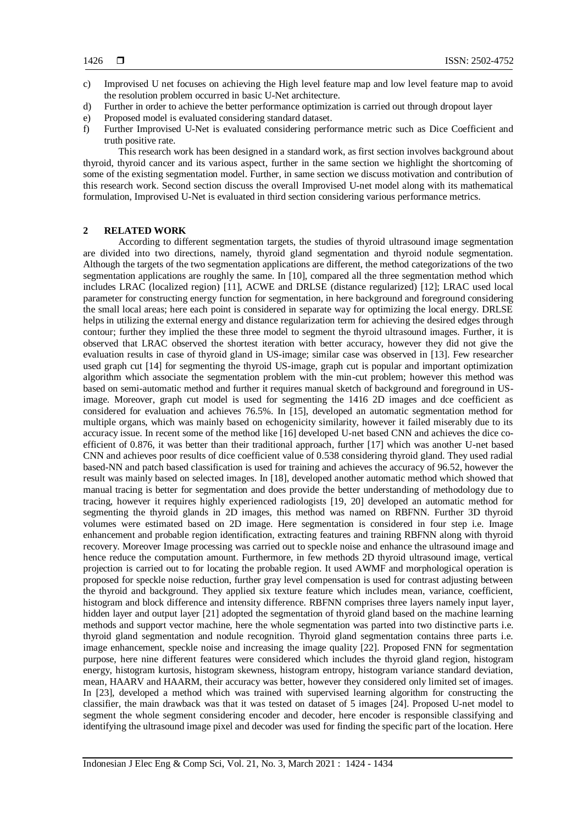- c) Improvised U net focuses on achieving the High level feature map and low level feature map to avoid the resolution problem occurred in basic U-Net architecture.
- d) Further in order to achieve the better performance optimization is carried out through dropout layer
- e) Proposed model is evaluated considering standard dataset.
- f) Further Improvised U-Net is evaluated considering performance metric such as Dice Coefficient and truth positive rate.

This research work has been designed in a standard work, as first section involves background about thyroid, thyroid cancer and its various aspect, further in the same section we highlight the shortcoming of some of the existing segmentation model. Further, in same section we discuss motivation and contribution of this research work. Second section discuss the overall Improvised U-net model along with its mathematical formulation, Improvised U-Net is evaluated in third section considering various performance metrics.

# **2 RELATED WORK**

According to different segmentation targets, the studies of thyroid ultrasound image segmentation are divided into two directions, namely, thyroid gland segmentation and thyroid nodule segmentation. Although the targets of the two segmentation applications are different, the method categorizations of the two segmentation applications are roughly the same. In [10], compared all the three segmentation method which includes LRAC (localized region) [11], ACWE and DRLSE (distance regularized) [12]; LRAC used local parameter for constructing energy function for segmentation, in here background and foreground considering the small local areas; here each point is considered in separate way for optimizing the local energy. DRLSE helps in utilizing the external energy and distance regularization term for achieving the desired edges through contour; further they implied the these three model to segment the thyroid ultrasound images. Further, it is observed that LRAC observed the shortest iteration with better accuracy, however they did not give the evaluation results in case of thyroid gland in US-image; similar case was observed in [13]. Few researcher used graph cut [14] for segmenting the thyroid US-image, graph cut is popular and important optimization algorithm which associate the segmentation problem with the min-cut problem; however this method was based on semi-automatic method and further it requires manual sketch of background and foreground in USimage. Moreover, graph cut model is used for segmenting the 1416 2D images and dce coefficient as considered for evaluation and achieves 76.5%. In [15], developed an automatic segmentation method for multiple organs, which was mainly based on echogenicity similarity, however it failed miserably due to its accuracy issue. In recent some of the method like [16] developed U-net based CNN and achieves the dice coefficient of 0.876, it was better than their traditional approach, further [17] which was another U-net based CNN and achieves poor results of dice coefficient value of 0.538 considering thyroid gland. They used radial based-NN and patch based classification is used for training and achieves the accuracy of 96.52, however the result was mainly based on selected images. In [18], developed another automatic method which showed that manual tracing is better for segmentation and does provide the better understanding of methodology due to tracing, however it requires highly experienced radiologists [19, 20] developed an automatic method for segmenting the thyroid glands in 2D images, this method was named on RBFNN. Further 3D thyroid volumes were estimated based on 2D image. Here segmentation is considered in four step i.e. Image enhancement and probable region identification, extracting features and training RBFNN along with thyroid recovery. Moreover Image processing was carried out to speckle noise and enhance the ultrasound image and hence reduce the computation amount. Furthermore, in few methods 2D thyroid ultrasound image, vertical projection is carried out to for locating the probable region. It used AWMF and morphological operation is proposed for speckle noise reduction, further gray level compensation is used for contrast adjusting between the thyroid and background. They applied six texture feature which includes mean, variance, coefficient, histogram and block difference and intensity difference. RBFNN comprises three layers namely input layer, hidden layer and output layer [21] adopted the segmentation of thyroid gland based on the machine learning methods and support vector machine, here the whole segmentation was parted into two distinctive parts i.e. thyroid gland segmentation and nodule recognition. Thyroid gland segmentation contains three parts i.e. image enhancement, speckle noise and increasing the image quality [22]. Proposed FNN for segmentation purpose, here nine different features were considered which includes the thyroid gland region, histogram energy, histogram kurtosis, histogram skewness, histogram entropy, histogram variance standard deviation, mean, HAARV and HAARM, their accuracy was better, however they considered only limited set of images. In [23], developed a method which was trained with supervised learning algorithm for constructing the classifier, the main drawback was that it was tested on dataset of 5 images [24]. Proposed U-net model to segment the whole segment considering encoder and decoder, here encoder is responsible classifying and identifying the ultrasound image pixel and decoder was used for finding the specific part of the location. Here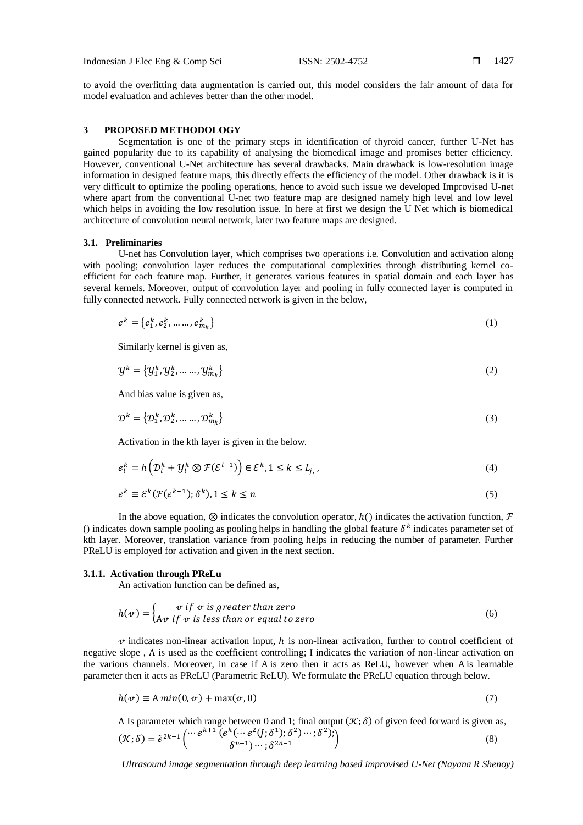to avoid the overfitting data augmentation is carried out, this model considers the fair amount of data for model evaluation and achieves better than the other model.

# **3 PROPOSED METHODOLOGY**

Segmentation is one of the primary steps in identification of thyroid cancer, further U-Net has gained popularity due to its capability of analysing the biomedical image and promises better efficiency. However, conventional U-Net architecture has several drawbacks. Main drawback is low-resolution image information in designed feature maps, this directly effects the efficiency of the model. Other drawback is it is very difficult to optimize the pooling operations, hence to avoid such issue we developed Improvised U-net where apart from the conventional U-net two feature map are designed namely high level and low level which helps in avoiding the low resolution issue. In here at first we design the U Net which is biomedical architecture of convolution neural network, later two feature maps are designed.

# **3.1. Preliminaries**

U-net has Convolution layer, which comprises two operations i.e. Convolution and activation along with pooling; convolution layer reduces the computational complexities through distributing kernel coefficient for each feature map. Further, it generates various features in spatial domain and each layer has several kernels. Moreover, output of convolution layer and pooling in fully connected layer is computed in fully connected network. Fully connected network is given in the below,

$$
e^{k} = \{e_1^{k}, e_2^{k}, \dots, e_{m_k}^{k}\}\tag{1}
$$

Similarly kernel is given as,

$$
\mathcal{Y}^{k} = \{y_{1}^{k}, y_{2}^{k}, \dots, y_{m_{k}}^{k}\}\tag{2}
$$

And bias value is given as,

$$
\mathcal{D}^k = \{D_1^k, D_2^k, \dots, D_{m_k}^k\}
$$
\n<sup>(3)</sup>

Activation in the kth layer is given in the below.

$$
e_l^k = h\left(\mathcal{D}_l^k + \mathcal{Y}_l^k \otimes \mathcal{F}(\mathcal{E}^{l-1})\right) \in \mathcal{E}^k, 1 \le k \le L_{j,\,l} \tag{4}
$$

$$
e^k \equiv \mathcal{E}^k(\mathcal{F}(e^{k-1}); \delta^k), 1 \le k \le n
$$
\n<sup>(5)</sup>

In the above equation,  $\otimes$  indicates the convolution operator,  $h()$  indicates the activation function,  $\mathcal F$ () indicates down sample pooling as pooling helps in handling the global feature  $\delta^k$  indicates parameter set of kth layer. Moreover, translation variance from pooling helps in reducing the number of parameter. Further PReLU is employed for activation and given in the next section.

# **3.1.1. Activation through PReLu**

An activation function can be defined as,

$$
h(v) = \begin{cases} v \text{ if } v \text{ is greater than zero} \\ Av \text{ if } v \text{ is less than or equal to zero} \end{cases}
$$
 (6)

 $\alpha$  indicates non-linear activation input, h is non-linear activation, further to control coefficient of negative slope , Α is used as the coefficient controlling; I indicates the variation of non-linear activation on the various channels. Moreover, in case if Α is zero then it acts as ReLU, however when Α is learnable parameter then it acts as PReLU (Parametric ReLU). We formulate the PReLU equation through below.

$$
h(v) \equiv A \min(0, v) + \max(v, 0) \tag{7}
$$

A Is parameter which range between 0 and 1; final output  $(\mathcal{K}; \delta)$  of given feed forward is given as,  $(\mathcal{K}; \delta) = \tilde{e}^{2k-1} \left( \cdots e^{k+1} \left( e^k (\cdots e^2 (j; \delta^1); \delta^2) \cdots; \delta^2 \right) \right)$  $\delta^{n+1})\cdots$ ;  $\delta^{2n-1}$  $\qquad \qquad (8)$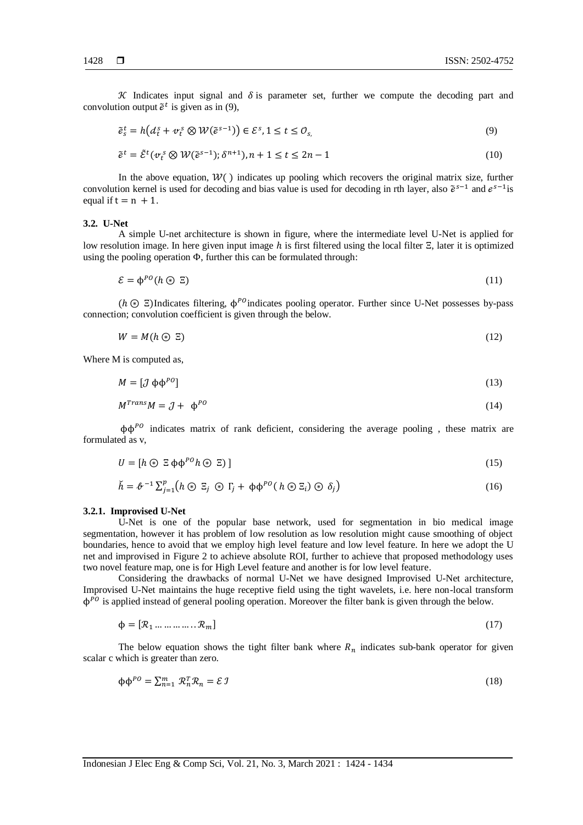K Indicates input signal and  $\delta$  is parameter set, further we compute the decoding part and convolution output  $\tilde{e}^t$  is given as in (9),

$$
\tilde{e}_s^t = h\big(d_t^s + \sigma_t^s \otimes \mathcal{W}(\tilde{e}^{s-1})\big) \in \mathcal{E}^s, 1 \le t \le \mathcal{O}_{s,\tag{9}
$$

$$
\tilde{e}^t = \tilde{\mathcal{E}}^t(\nu_t^s \otimes \mathcal{W}(\tilde{e}^{s-1}); \delta^{n+1}), n+1 \le t \le 2n-1
$$
\n(10)

In the above equation,  $W()$  indicates up pooling which recovers the original matrix size, further convolution kernel is used for decoding and bias value is used for decoding in rth layer, also  $\tilde{e}^{s-1}$  and  $e^{s-1}$  is equal if  $t = n + 1$ .

### **3.2. U-Net**

A simple U-net architecture is shown in figure, where the intermediate level U-Net is applied for low resolution image. In here given input image  $h$  is first filtered using the local filter  $\Xi$ , later it is optimized using the pooling operation  $\Phi$ , further this can be formulated through:

$$
\mathcal{E} = \phi^{PO}(h \circledast \Xi) \tag{11}
$$

( $h \odot$  Ξ)Indicates filtering,  $\phi^{PO}$ indicates pooling operator. Further since U-Net possesses by-pass connection; convolution coefficient is given through the below.

$$
W = M(h \circledast \Sigma) \tag{12}
$$

Where M is computed as,

$$
M = \left[\mathcal{J}\,\phi\phi^{PO}\right] \tag{13}
$$

$$
M^{Trans}M = \mathcal{J} + \phi^{PO}
$$
 (14)

 $\phi \phi^{PQ}$  indicates matrix of rank deficient, considering the average pooling, these matrix are formulated as v,

$$
U = [h \odot \Xi \phi \phi^{PO} h \odot \Xi)] \tag{15}
$$

$$
\check{h} = \mathcal{B}^{-1} \sum_{j=1}^{p} \left( h \circledast \Xi_j \circledast \Gamma_j + \phi \phi^{PO} \left( h \circledast \Xi_i \right) \circledast \delta_j \right) \tag{16}
$$

#### **3.2.1. Improvised U-Net**

U-Net is one of the popular base network, used for segmentation in bio medical image segmentation, however it has problem of low resolution as low resolution might cause smoothing of object boundaries, hence to avoid that we employ high level feature and low level feature. In here we adopt the U net and improvised in Figure 2 to achieve absolute ROI, further to achieve that proposed methodology uses two novel feature map, one is for High Level feature and another is for low level feature.

Considering the drawbacks of normal U-Net we have designed Improvised U-Net architecture, Improvised U-Net maintains the huge receptive field using the tight wavelets, i.e. here non-local transform  $\phi^{PQ}$  is applied instead of general pooling operation. Moreover the filter bank is given through the below.

$$
\Phi = [\mathcal{R}_1 \dots \dots \dots \dots \mathcal{R}_m] \tag{17}
$$

The below equation shows the tight filter bank where  $R_n$  indicates sub-bank operator for given scalar c which is greater than zero.

$$
\Phi \Phi^{PO} = \sum_{n=1}^{m} \mathcal{R}_n^T \mathcal{R}_n = \mathcal{E} \mathcal{I} \tag{18}
$$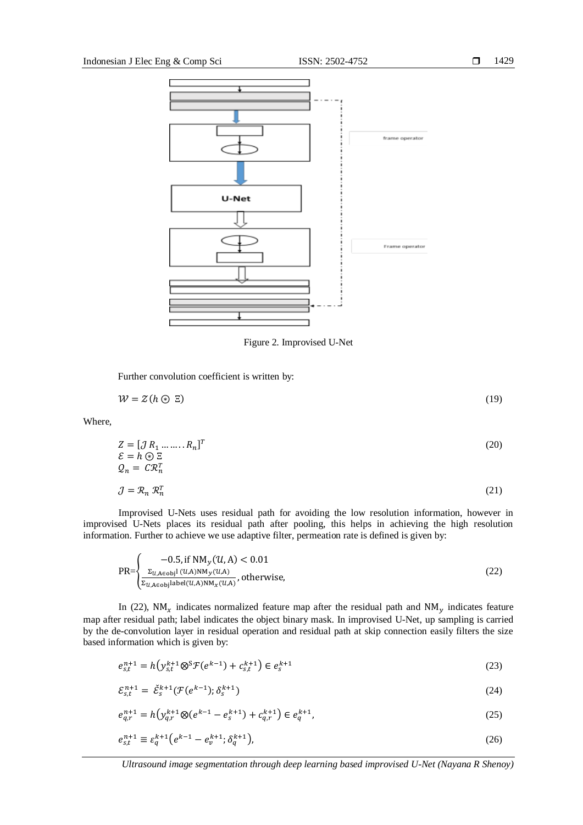

Figure 2. Improvised U-Net

Further convolution coefficient is written by:

 $W = Z(h \odot \Xi)$  (19)

Where,

$$
Z = [J R_1 \dots \dots R_n]^T
$$
  
\n
$$
\mathcal{E} = h \oplus \Xi
$$
  
\n
$$
Q_n = C \mathcal{R}_n^T
$$
  
\n
$$
J = R_n \mathcal{R}_n^T
$$
  
\n(21)

Improvised U-Nets uses residual path for avoiding the low resolution information, however in improvised U-Nets places its residual path after pooling, this helps in achieving the high resolution information. Further to achieve we use adaptive filter, permeation rate is defined is given by:

$$
PR = \begin{cases}\n-0.5, \text{if } NM_y(\mathcal{U}, A) < 0.01 \\
\frac{\Sigma_{\mathcal{U}, A \in obj}(\mathcal{U}, A) NM_y(\mathcal{U}, A)}{\Sigma_{\mathcal{U}, A \in obj}|\text{abel}(\mathcal{U}, A) NM_x(\mathcal{U}, A)}, \text{otherwise,} \\
\end{cases} \tag{22}
$$

In (22),  $NM_x$  indicates normalized feature map after the residual path and  $NM_y$  indicates feature map after residual path; label indicates the object binary mask. In improvised U-Net, up sampling is carried by the de-convolution layer in residual operation and residual path at skip connection easily filters the size based information which is given by:

$$
e_{s,t}^{n+1} = h(y_{s,t}^{k+1} \otimes^S \mathcal{F}(e^{k-1}) + c_{s,t}^{k+1}) \in e_s^{k+1}
$$
\n(23)

$$
\mathcal{E}_{s,t}^{n+1} = \check{\mathcal{E}}_s^{k+1}(\mathcal{F}(e^{k-1}); \delta_s^{k+1})
$$
\n(24)

$$
e_{q,r}^{n+1} = h(y_{q,r}^{k+1} \otimes (e^{k-1} - e_s^{k+1}) + c_{q,r}^{k+1}) \in e_q^{k+1},\tag{25}
$$

$$
e_{s,t}^{n+1} \equiv \varepsilon_q^{k+1} \big( e^{k-1} - e_v^{k+1}; \delta_q^{k+1} \big), \tag{26}
$$

*Ultrasound image segmentation through deep learning based improvised U-Net (Nayana R Shenoy)*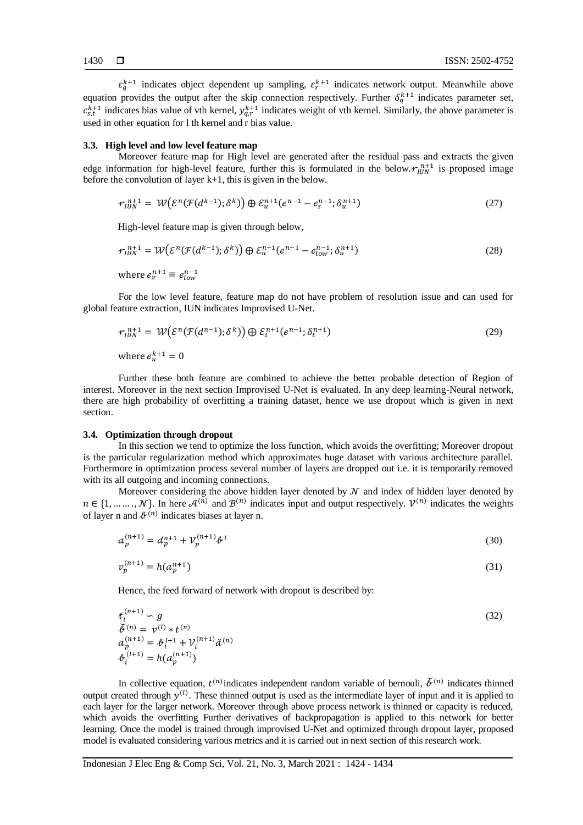$\varepsilon_q^{k+1}$  indicates object dependent up sampling,  $\varepsilon_r^{k+1}$  indicates network output. Meanwhile above equation provides the output after the skip connection respectively. Further  $\delta_q^{k+1}$  indicates parameter set,  $c_{s,t}^{k+1}$  indicates bias value of vth kernel,  $y_{q,r}^{k+1}$  indicates weight of vth kernel. Similarly, the above parameter is used in other equation for l th kernel and r bias value.

# **3.3. High level and low level feature map**

Moreover feature map for High level are generated after the residual pass and extracts the given edge information for high-level feature, further this is formulated in the below.  $r_{IUN}^{n+1}$  is proposed image before the convolution of layer k+1, this is given in the below.

$$
r_{IUN}^{n+1} = W\big(\mathcal{E}^n(\mathcal{F}(d^{k-1});\delta^k)\big) \oplus \mathcal{E}_u^{n+1}(e^{n-1} - e_s^{n-1};\delta_u^{n+1})
$$
\n(27)

High-level feature map is given through below,

$$
\begin{aligned} \n\mathcal{F}_{IUN}^{n+1} &= \mathcal{W}\big(\mathcal{E}^n(\mathcal{F}(d^{k-1});\delta^k)\big) \oplus \mathcal{E}_u^{n+1}(e^{n-1} - e_{low}^{n-1};\delta_u^{n+1})\\ \n\text{where } e_v^{n+1} \equiv e_{low}^{n-1} \n\end{aligned} \tag{28}
$$

For the low level feature, feature map do not have problem of resolution issue and can used for global feature extraction, IUN indicates Improvised U-Net.

$$
\mathcal{F}_{IUN}^{n+1} = \mathcal{W}\big(\mathcal{E}^n(\mathcal{F}(d^{n-1});\delta^k)\big) \oplus \mathcal{E}_t^{n+1}(e^{n-1};\delta_t^{n+1})
$$
\nwhere  $e_u^{k+1} = 0$  (29)

Further these both feature are combined to achieve the better probable detection of Region of interest. Moreover in the next section Improvised U-Net is evaluated. In any deep learning-Neural network, there are high probability of overfitting a training dataset, hence we use dropout which is given in next section.

# **3.4. Optimization through dropout**

In this section we tend to optimize the loss function, which avoids the overfitting; Moreover dropout is the particular regularization method which approximates huge dataset with various architecture parallel. Furthermore in optimization process several number of layers are dropped out i.e. it is temporarily removed with its all outgoing and incoming connections.

Moreover considering the above hidden layer denoted by  $\mathcal N$  and index of hidden layer denoted by  $n \in \{1, \dots, N\}$ . In here  $\mathcal{A}^{(n)}$  and  $\mathcal{B}^{(n)}$  indicates input and output respectively.  $\mathcal{V}^{(n)}$  indicates the weights of layer n and  $\ell^{(n)}$  indicates biases at layer n.

$$
a_p^{(n+1)} = d_p^{n+1} + \mathcal{V}_p^{(n+1)} \mathcal{V}^l
$$
\n(30)

$$
v_p^{(n+1)} = h(a_p^{n+1})
$$
\n(31)

Hence, the feed forward of network with dropout is described by:

$$
t_i^{(n+1)} \sim g
$$
  
\n
$$
\tilde{\phi}^{(n)} = v^{(l)} * t^{(n)}
$$
  
\n
$$
a_p^{(n+1)} = \theta_i^{l+1} + \mathcal{V}_i^{(n+1)} \tilde{\alpha}^{(n)}
$$
  
\n
$$
\theta_i^{(l+1)} = h(a_p^{(n+1)})
$$
\n(32)

In collective equation,  $t^{(n)}$  indicates independent random variable of bernouli,  $\check{\phi}^{(n)}$  indicates thinned output created through  $y^{(l)}$ . These thinned output is used as the intermediate layer of input and it is applied to each layer for the larger network. Moreover through above process network is thinned or capacity is reduced, which avoids the overfitting Further derivatives of backpropagation is applied to this network for better learning. Once the model is trained through improvised U-Net and optimized through dropout layer, proposed model is evaluated considering various metrics and it is carried out in next section of this research work.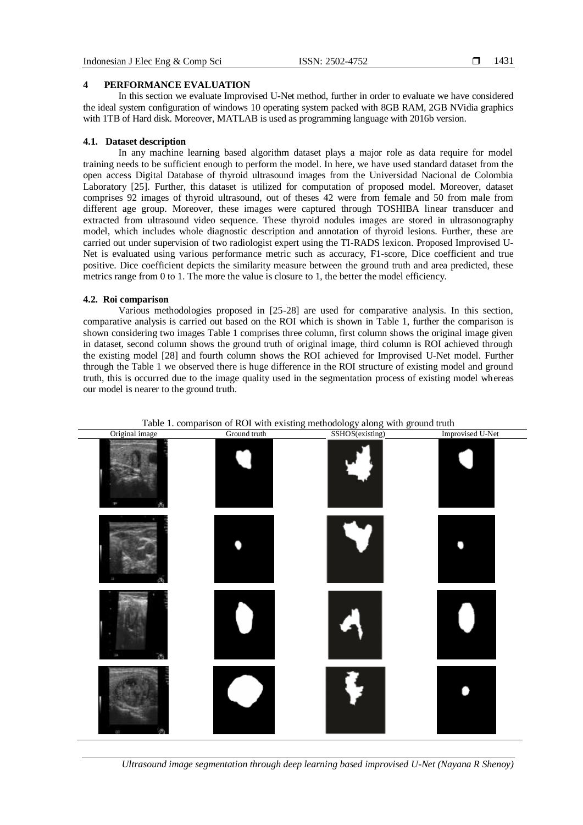# **4 PERFORMANCE EVALUATION**

In this section we evaluate Improvised U-Net method, further in order to evaluate we have considered the ideal system configuration of windows 10 operating system packed with 8GB RAM, 2GB NVidia graphics with 1TB of Hard disk. Moreover, MATLAB is used as programming language with 2016b version.

# **4.1. Dataset description**

In any machine learning based algorithm dataset plays a major role as data require for model training needs to be sufficient enough to perform the model. In here, we have used standard dataset from the open access Digital Database of thyroid ultrasound images from the Universidad Nacional de Colombia Laboratory [25]. Further, this dataset is utilized for computation of proposed model. Moreover, dataset comprises 92 images of thyroid ultrasound, out of theses 42 were from female and 50 from male from different age group. Moreover, these images were captured through TOSHIBA linear transducer and extracted from ultrasound video sequence. These thyroid nodules images are stored in ultrasonography model, which includes whole diagnostic description and annotation of thyroid lesions. Further, these are carried out under supervision of two radiologist expert using the TI-RADS lexicon. Proposed Improvised U-Net is evaluated using various performance metric such as accuracy, F1-score, Dice coefficient and true positive. Dice coefficient depicts the similarity measure between the ground truth and area predicted, these metrics range from 0 to 1. The more the value is closure to 1, the better the model efficiency.

# **4.2. Roi comparison**

Various methodologies proposed in [25-28] are used for comparative analysis. In this section, comparative analysis is carried out based on the ROI which is shown in Table 1, further the comparison is shown considering two images Table 1 comprises three column, first column shows the original image given in dataset, second column shows the ground truth of original image, third column is ROI achieved through the existing model [28] and fourth column shows the ROI achieved for Improvised U-Net model. Further through the Table 1 we observed there is huge difference in the ROI structure of existing model and ground truth, this is occurred due to the image quality used in the segmentation process of existing model whereas our model is nearer to the ground truth.



Table 1. comparison of ROI with existing methodology along with ground truth

*Ultrasound image segmentation through deep learning based improvised U-Net (Nayana R Shenoy)*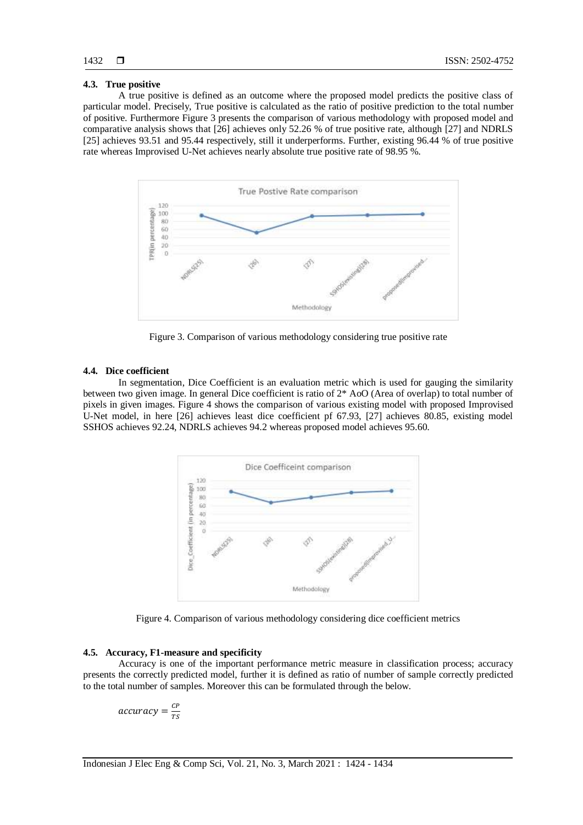# **4.3. True positive**

A true positive is defined as an outcome where the proposed model predicts the positive class of particular model. Precisely, True positive is calculated as the ratio of positive prediction to the total number of positive. Furthermore Figure 3 presents the comparison of various methodology with proposed model and comparative analysis shows that [26] achieves only 52.26 % of true positive rate, although [27] and NDRLS [25] achieves 93.51 and 95.44 respectively, still it underperforms. Further, existing 96.44 % of true positive rate whereas Improvised U-Net achieves nearly absolute true positive rate of 98.95 %.



Figure 3. Comparison of various methodology considering true positive rate

# **4.4. Dice coefficient**

In segmentation, Dice Coefficient is an evaluation metric which is used for gauging the similarity between two given image. In general Dice coefficient is ratio of 2\* AoO (Area of overlap) to total number of pixels in given images. Figure 4 shows the comparison of various existing model with proposed Improvised U-Net model, in here [26] achieves least dice coefficient pf 67.93, [27] achieves 80.85, existing model SSHOS achieves 92.24, NDRLS achieves 94.2 whereas proposed model achieves 95.60.



Figure 4. Comparison of various methodology considering dice coefficient metrics

# **4.5. Accuracy, F1-measure and specificity**

Accuracy is one of the important performance metric measure in classification process; accuracy presents the correctly predicted model, further it is defined as ratio of number of sample correctly predicted to the total number of samples. Moreover this can be formulated through the below.

$$
accuracy = \frac{CP}{TS}
$$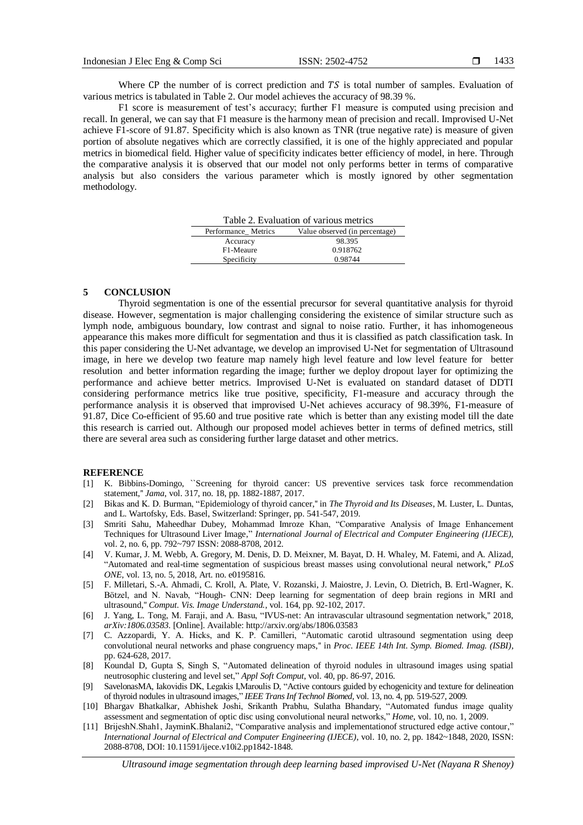Where CP the number of is correct prediction and  $TS$  is total number of samples. Evaluation of various metrics is tabulated in Table 2. Our model achieves the accuracy of 98.39 %.

F1 score is measurement of test's accuracy; further F1 measure is computed using precision and recall. In general, we can say that F1 measure is the harmony mean of precision and recall. Improvised U-Net achieve F1-score of 91.87. Specificity which is also known as TNR (true negative rate) is measure of given portion of absolute negatives which are correctly classified, it is one of the highly appreciated and popular metrics in biomedical field. Higher value of specificity indicates better efficiency of model, in here. Through the comparative analysis it is observed that our model not only performs better in terms of comparative analysis but also considers the various parameter which is mostly ignored by other segmentation methodology.

| Table 2. Evaluation of various metrics |                                |
|----------------------------------------|--------------------------------|
| Performance Metrics                    | Value observed (in percentage) |
| Accuracy                               | 98.395                         |
| F1-Meaure                              | 0.918762                       |
| Specificity                            | 0.98744                        |

# **5 CONCLUSION**

Thyroid segmentation is one of the essential precursor for several quantitative analysis for thyroid disease. However, segmentation is major challenging considering the existence of similar structure such as lymph node, ambiguous boundary, low contrast and signal to noise ratio. Further, it has inhomogeneous appearance this makes more difficult for segmentation and thus it is classified as patch classification task. In this paper considering the U-Net advantage, we develop an improvised U-Net for segmentation of Ultrasound image, in here we develop two feature map namely high level feature and low level feature for better resolution and better information regarding the image; further we deploy dropout layer for optimizing the performance and achieve better metrics. Improvised U-Net is evaluated on standard dataset of DDTI considering performance metrics like true positive, specificity, F1-measure and accuracy through the performance analysis it is observed that improvised U-Net achieves accuracy of 98.39%, F1-measure of 91.87, Dice Co-efficient of 95.60 and true positive rate which is better than any existing model till the date this research is carried out. Although our proposed model achieves better in terms of defined metrics, still there are several area such as considering further large dataset and other metrics.

# **REFERENCE**

- [1] K. Bibbins-Domingo, ``Screening for thyroid cancer: US preventive services task force recommendation statement,'' *Jama*, vol. 317, no. 18, pp. 1882-1887, 2017.
- [2] Bikas and K. D. Burman, "Epidemiology of thyroid cancer,'' in *The Thyroid and Its Diseases*, M. Luster, L. Duntas, and L. Wartofsky, Eds. Basel, Switzerland: Springer, pp. 541-547, 2019.
- [3] Smriti Sahu, Maheedhar Dubey, Mohammad Imroze Khan, "Comparative Analysis of Image Enhancement Techniques for Ultrasound Liver Image," *International Journal of Electrical and Computer Engineering (IJECE)*, vol. 2, no. 6, pp. 792~797 ISSN: 2088-8708, 2012.
- [4] V. Kumar, J. M. Webb, A. Gregory, M. Denis, D. D. Meixner, M. Bayat, D. H. Whaley, M. Fatemi, and A. Alizad, "Automated and real-time segmentation of suspicious breast masses using convolutional neural network,'' *PLoS ONE*, vol. 13, no. 5, 2018, Art. no. e0195816.
- [5] F. Milletari, S.-A. Ahmadi, C. Kroll, A. Plate, V. Rozanski, J. Maiostre, J. Levin, O. Dietrich, B. Ertl-Wagner, K. Bötzel, and N. Navab, "Hough- CNN: Deep learning for segmentation of deep brain regions in MRI and ultrasound,'' *Comput. Vis. Image Understand.*, vol. 164, pp. 92-102, 2017.
- [6] J. Yang, L. Tong, M. Faraji, and A. Basu, "IVUS-net: An intravascular ultrasound segmentation network,'' 2018, *arXiv:1806.03583*. [Online]. Available[: http://arxiv.org/abs/1806.03583](http://arxiv.org/abs/1806.03583)
- [7] C. Azzopardi, Y. A. Hicks, and K. P. Camilleri, "Automatic carotid ultrasound segmentation using deep convolutional neural networks and phase congruency maps,'' in *Proc. IEEE 14th Int. Symp. Biomed. Imag. (ISBI)*, pp. 624-628, 2017.
- [8] Koundal D, Gupta S, Singh S, "Automated delineation of thyroid nodules in ultrasound images using spatial neutrosophic clustering and level set," *Appl Soft Comput,* vol. 40, pp. 86-97, 2016.
- [9] SavelonasMA, Iakovidis DK, Legakis I,Maroulis D, "Active contours guided by echogenicity and texture for delineation of thyroid nodules in ultrasound images," *IEEE Trans Inf Technol Biomed,* vol. 13, no. 4, pp. 519-527, 2009.
- [10] Bhargav Bhatkalkar, Abhishek Joshi, Srikanth Prabhu, Sulatha Bhandary, "Automated fundus image quality assessment and segmentation of optic disc using convolutional neural networks," *Home*, vol. 10, no. 1, 2009.
- [11] BrijeshN.Shah1, JayminK.Bhalani2, "Comparative analysis and implementationof structured edge active contour," *International Journal of Electrical and Computer Engineering (IJECE)*, vol. 10, no. 2, pp. 1842~1848, 2020, ISSN: 2088-8708, DOI: 10.11591/ijece.v10i2.pp1842-1848.